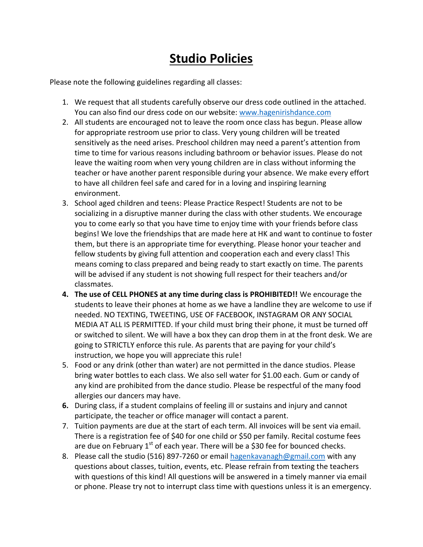## **Studio Policies**

Please note the following guidelines regarding all classes:

- 1. We request that all students carefully observe our dress code outlined in the attached. You can also find our dress code on our website: [www.hagenirishdance.com](http://www.hagenirishdance.com/)
- 2. All students are encouraged not to leave the room once class has begun. Please allow for appropriate restroom use prior to class. Very young children will be treated sensitively as the need arises. Preschool children may need a parent's attention from time to time for various reasons including bathroom or behavior issues. Please do not leave the waiting room when very young children are in class without informing the teacher or have another parent responsible during your absence. We make every effort to have all children feel safe and cared for in a loving and inspiring learning environment.
- 3. School aged children and teens: Please Practice Respect! Students are not to be socializing in a disruptive manner during the class with other students. We encourage you to come early so that you have time to enjoy time with your friends before class begins! We love the friendships that are made here at HK and want to continue to foster them, but there is an appropriate time for everything. Please honor your teacher and fellow students by giving full attention and cooperation each and every class! This means coming to class prepared and being ready to start exactly on time. The parents will be advised if any student is not showing full respect for their teachers and/or classmates.
- **4. The use of CELL PHONES at any time during class is PROHIBITED!!** We encourage the students to leave their phones at home as we have a landline they are welcome to use if needed. NO TEXTING, TWEETING, USE OF FACEBOOK, INSTAGRAM OR ANY SOCIAL MEDIA AT ALL IS PERMITTED. If your child must bring their phone, it must be turned off or switched to silent. We will have a box they can drop them in at the front desk. We are going to STRICTLY enforce this rule. As parents that are paying for your child's instruction, we hope you will appreciate this rule!
- 5. Food or any drink (other than water) are not permitted in the dance studios. Please bring water bottles to each class. We also sell water for \$1.00 each. Gum or candy of any kind are prohibited from the dance studio. Please be respectful of the many food allergies our dancers may have.
- **6.** During class, if a student complains of feeling ill or sustains and injury and cannot participate, the teacher or office manager will contact a parent.
- 7. Tuition payments are due at the start of each term. All invoices will be sent via email. There is a registration fee of \$40 for one child or \$50 per family. Recital costume fees are due on February  $1^{st}$  of each year. There will be a \$30 fee for bounced checks.
- 8. Please call the studio (516) 897-7260 or email [hagenkavanagh@gmail.com](mailto:hagenkavanagh@gmail.com) with any questions about classes, tuition, events, etc. Please refrain from texting the teachers with questions of this kind! All questions will be answered in a timely manner via email or phone. Please try not to interrupt class time with questions unless it is an emergency.